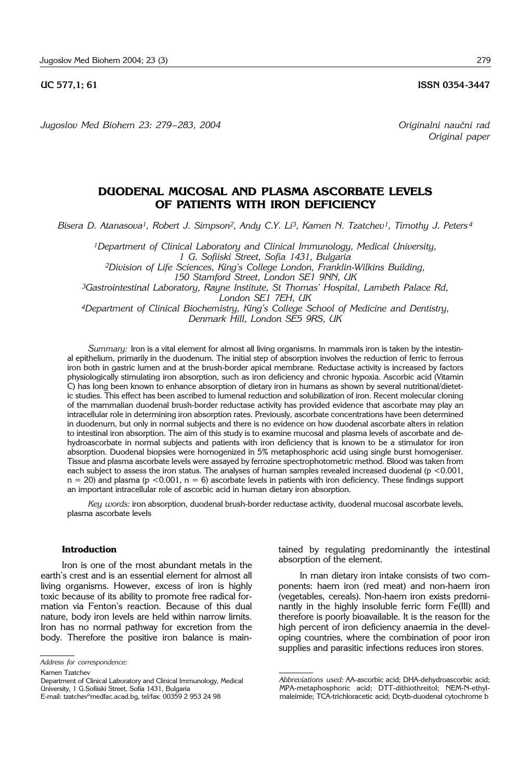**UC 577.1; 61 ISSN 0354-3447** 

*Jugoslov Med Biohem 23: 279– 283, 2004 Originalni nau~ni rad*

# **DUODENAL MUCOSAL AND PLASMA ASCORBATE LEVELS OF PATIENTS WITH IRON DEFICIENCY**

*Bisera D. Atanasova1, Robert J. Simpson2, Andy C.Y. Li3, Kamen N. Tzatchev1, Timothy J. Peters <sup>4</sup>*

*1Department of Clinical Laboratory and Clinical Immunology, Medical University, 1 G. Sofiiski Street, Sofia 1431, Bulgaria 2Division of Life Sciences, King's College London, Franklin*-*Wilkins Building,* 

*150 Stamford Street, London SE1 9NN, UK*

*3Gastrointestinal Laboratory, Rayne Institute, St Thomas' Hospital, Lambeth Palace Rd, London SE1 7EH, UK*

*4Department of Clinical Biochemistry, King's College School of Medicine and Dentistry, Denmark Hill, London SE5 9RS, UK*

*Summary:* Iron is a vital element for almost all living organisms. In mammals iron is taken by the intestinal epithelium, primarily in the duodenum. The initial step of absorption involves the reduction of ferric to ferrous iron both in gastric lumen and at the brush-border apical membrane. Reductase activity is increased by factors physiologically stimulating iron absorption, such as iron deficiency and chronic hypoxia. Ascorbic acid (Vitamin C) has long been known to enhance absorption of dietary iron in humans as shown by several nutritional/dietetic studies. This effect has been ascribed to lumenal reduction and solubilization of iron. Recent molecular cloning of the mammalian duodenal brush-border reductase activity has provided evidence that ascorbate may play an intracellular role in determining iron absorption rates. Previously, ascorbate concentrations have been determined in duodenum, but only in normal subjects and there is no evidence on how duodenal ascorbate alters in relation to intestinal iron absorption. The aim of this study is to examine mucosal and plasma levels of ascorbate and dehydroascorbate in normal subjects and patients with iron deficiency that is known to be a stimulator for iron absorption. Duodenal biopsies were homogenized in 5% metaphosphoric acid using single burst homogeniser. Tissue and plasma ascorbate levels were assayed by ferrozine spectrophotometric method. Blood was taken from each subject to assess the iron status. The analyses of human samples revealed increased duodenal  $(p < 0.001,$  $n = 20$ ) and plasma ( $p < 0.001$ ,  $n = 6$ ) ascorbate levels in patients with iron deficiency. These findings support an important intracellular role of ascorbic acid in human dietary iron absorption.

*Key words:* iron absorption, duodenal brush-border reductase activity, duodenal mucosal ascorbate levels, plasma ascorbate levels

# **Introduction**

Iron is one of the most abundant metals in the earth's crest and is an essential element for almost all living organisms. However, excess of iron is highly toxic because of its ability to promote free radical formation via Fenton's reaction. Because of this dual nature, body iron levels are held within narrow limits. Iron has no normal pathway for excretion from the body. Therefore the positive iron balance is main-

Kamen Tzatchev

tained by regulating predominantly the intestinal absorption of the element.

In man dietary iron intake consists of two components: haem iron (red meat) and non-haem iron (vegetables, cereals). Non-haem iron exists predominantly in the highly insoluble ferric form Fe(III) and therefore is poorly bioavailable. It is the reason for the high percent of iron deficiency anaemia in the developing countries, where the combination of poor iron supplies and parasitic infections reduces iron stores.

*Address for correspondence:*

Department of Clinical Laboratory and Clinical Immunology, Medical University, 1 G.Sofiiski Street, Sofia 1431, Bulgaria E-mail: tzatchev°medfac.acad.bg, tel/fax: 00359 2 953 24 98

*Abbreviations used:* AA-ascorbic acid; DHA-dehydroascorbic acid; MPA-metaphosphoric acid; DTT-dithiothreitol; NEM-N-ethylmaleimide; TCA-trichloracetic acid; Dcytb-duodenal cytochrome b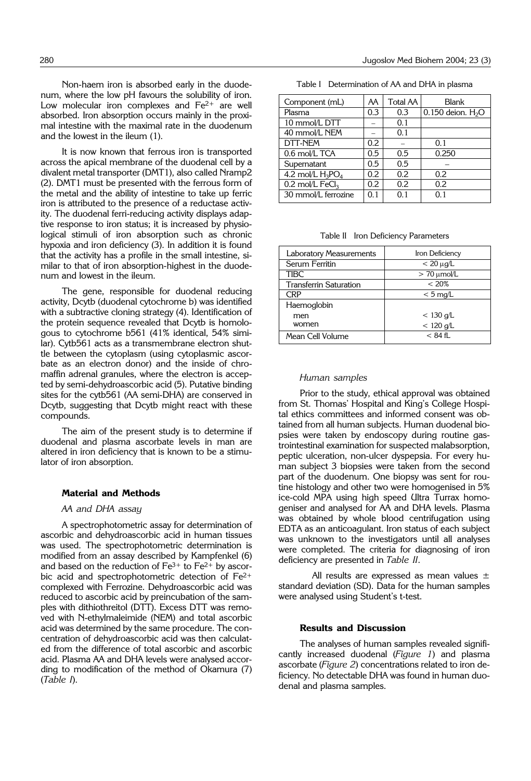Non-haem iron is absorbed early in the duodenum, where the low pH favours the solubility of iron. Low molecular iron complexes and Fe<sup>2+</sup> are well absorbed. Iron absorption occurs mainly in the proximal intestine with the maximal rate in the duodenum and the lowest in the ileum (1).

It is now known that ferrous iron is transported across the apical membrane of the duodenal cell by a divalent metal transporter (DMT1), also called Nramp2 (2). DMT1 must be presented with the ferrous form of the metal and the ability of intestine to take up ferric iron is attributed to the presence of a reductase activity. The duodenal ferri-reducing activity displays adaptive response to iron status; it is increased by physiological stimuli of iron absorption such as chronic hypoxia and iron deficiency (3). In addition it is found that the activity has a profile in the small intestine, similar to that of iron absorption-highest in the duodenum and lowest in the ileum.

The gene, responsible for duodenal reducing activity, Dcytb (duodenal cytochrome b) was identified with a subtractive cloning strategy (4). Identification of the protein sequence revealed that Dcytb is homologous to cytochrome b561 (41% identical, 54% similar). Cytb561 acts as a transmembrane electron shuttle between the cytoplasm (using cytoplasmic ascorbate as an electron donor) and the inside of chromaffin adrenal granules, where the electron is accepted by semi-dehydroascorbic acid (5). Putative binding sites for the cytb561 (AA semi-DHA) are conserved in Dcytb, suggesting that Dcytb might react with these compounds.

The aim of the present study is to determine if duodenal and plasma ascorbate levels in man are altered in iron deficiency that is known to be a stimulator of iron absorption.

### **Material and Methods**

#### *AA and DHA assay*

A spectrophotometric assay for determination of ascorbic and dehydroascorbic acid in human tissues was used. The spectrophotometric determination is modified from an assay described by Kampfenkel (6) and based on the reduction of  $Fe^{3+}$  to  $Fe^{2+}$  by ascorbic acid and spectrophotometric detection of Fe2+ complexed with Ferrozine. Dehydroascorbic acid was reduced to ascorbic acid by preincubation of the samples with dithiothreitol (DTT). Excess DTT was removed with N-ethylmaleimide (NEM) and total ascorbic acid was determined by the same procedure. The concentration of dehydroascorbic acid was then calculated from the difference of total ascorbic and ascorbic acid. Plasma AA and DHA levels were analysed according to modification of the method of Okamura (7) (*Table I*).

| Table I Determination of AA and DHA in plasma |  |
|-----------------------------------------------|--|
|-----------------------------------------------|--|

| Component (mL)                | AA  | <b>Total AA</b> | Blank                |
|-------------------------------|-----|-----------------|----------------------|
| Plasma                        | 0.3 | 0.3             | $0.150$ deion. $H2O$ |
| 10 mmol/L DTT                 |     | 0.1             |                      |
| 40 mmol/L NEM                 |     | 0.1             |                      |
| DTT-NEM                       | 0.2 |                 | 0.1                  |
| 0.6 mol/L TCA                 | 0.5 | 0.5             | 0.250                |
| Supernatant                   | 0.5 | 0.5             |                      |
| 4.2 mol/L $H_3PO_4$           | 0.2 | 0.2             | 0.2                  |
| $0.2$ mol/L FeCl <sub>3</sub> | 0.2 | 0.2             | 0.2                  |
| 30 mmol/L ferrozine           | 0.1 | 0.1             | 0.1                  |

|  |  |  | Table II Iron Deficiency Parameters |
|--|--|--|-------------------------------------|
|--|--|--|-------------------------------------|

| <b>Laboratory Measurements</b> | Iron Deficiency       |
|--------------------------------|-----------------------|
| Serum Ferritin                 | $< 20 \mu g/L$        |
| <b>TIBC</b>                    | $> 70 \mu$ mol/L      |
| <b>Transferrin Saturation</b>  | < 20%                 |
| CRP                            | $< 5 \,\mathrm{mg/L}$ |
| Haemoglobin                    |                       |
| men                            | $< 130$ g/L           |
| women                          | $< 120$ g/L           |
| Mean Cell Volume               | $< 84$ fL             |

### *Human samples*

Prior to the study, ethical approval was obtained from St. Thomas' Hospital and King's College Hospital ethics committees and informed consent was obtained from all human subjects. Human duodenal biopsies were taken by endoscopy during routine gastrointestinal examination for suspected malabsorption, peptic ulceration, non-ulcer dyspepsia. For every human subject 3 biopsies were taken from the second part of the duodenum. One biopsy was sent for routine histology and other two were homogenised in 5% ice-cold MPA using high speed Ultra Turrax homogeniser and analysed for AA and DHA levels. Plasma was obtained by whole blood centrifugation using EDTA as an anticoagulant. Iron status of each subject was unknown to the investigators until all analyses were completed. The criteria for diagnosing of iron deficiency are presented in *Table II*.

All results are expressed as mean values  $\pm$ standard deviation (SD). Data for the human samples were analysed using Student's t-test.

# **Results and Discussion**

The analyses of human samples revealed significantly increased duodenal (*Figure 1*) and plasma ascorbate (*Figure 2*) concentrations related to iron deficiency. No detectable DHA was found in human duodenal and plasma samples.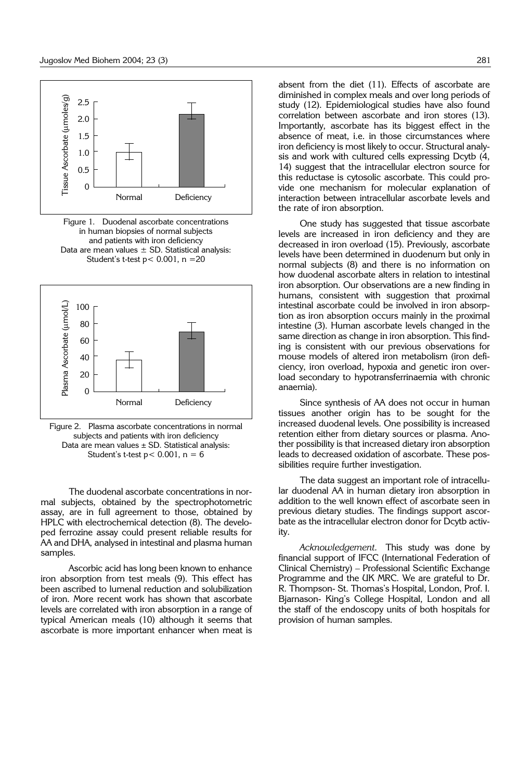

Figure 1. Duodenal ascorbate concentrations in human biopsies of normal subjects and patients with iron deficiency Data are mean values  $\pm$  SD. Statistical analysis: Student's t-test  $p < 0.001$ ,  $n = 20$ 



Figure 2. Plasma ascorbate concentrations in normal subjects and patients with iron deficiency Data are mean values  $\pm$  SD. Statistical analysis: Student's t-test  $p < 0.001$ ,  $n = 6$ 

The duodenal ascorbate concentrations in normal subjects, obtained by the spectrophotometric assay, are in full agreement to those, obtained by HPLC with electrochemical detection (8). The developed ferrozine assay could present reliable results for AA and DHA, analysed in intestinal and plasma human samples.

Ascorbic acid has long been known to enhance iron absorption from test meals (9). This effect has been ascribed to lumenal reduction and solubilization of iron. More recent work has shown that ascorbate levels are correlated with iron absorption in a range of typical American meals (10) although it seems that ascorbate is more important enhancer when meat is

absent from the diet (11). Effects of ascorbate are diminished in complex meals and over long periods of study (12). Epidemiological studies have also found correlation between ascorbate and iron stores (13). Importantly, ascorbate has its biggest effect in the absence of meat, i.e. in those circumstances where iron deficiency is most likely to occur. Structural analysis and work with cultured cells expressing Dcytb (4, 14) suggest that the intracellular electron source for this reductase is cytosolic ascorbate. This could provide one mechanism for molecular explanation of interaction between intracellular ascorbate levels and the rate of iron absorption.

One study has suggested that tissue ascorbate levels are increased in iron deficiency and they are decreased in iron overload (15). Previously, ascorbate levels have been determined in duodenum but only in normal subjects (8) and there is no information on how duodenal ascorbate alters in relation to intestinal iron absorption. Our observations are a new finding in humans, consistent with suggestion that proximal intestinal ascorbate could be involved in iron absorption as iron absorption occurs mainly in the proximal intestine (3). Human ascorbate levels changed in the same direction as change in iron absorption. This finding is consistent with our previous observations for mouse models of altered iron metabolism (iron deficiency, iron overload, hypoxia and genetic iron overload secondary to hypotransferrinaemia with chronic anaemia).

Since synthesis of AA does not occur in human tissues another origin has to be sought for the increased duodenal levels. One possibility is increased retention either from dietary sources or plasma. Another possibility is that increased dietary iron absorption leads to decreased oxidation of ascorbate. These possibilities require further investigation.

The data suggest an important role of intracellular duodenal AA in human dietary iron absorption in addition to the well known effect of ascorbate seen in previous dietary studies. The findings support ascorbate as the intracellular electron donor for Dcytb activity.

*Acknowledgement.* This study was done by financial support of IFCC (International Federation of Clinical Chemistry) – Professional Scientific Exchange Programme and the UK MRC. We are grateful to Dr. R. Thompson- St. Thomas's Hospital, London, Prof. I. Bjarnason- King's College Hospital, London and all the staff of the endoscopy units of both hospitals for provision of human samples.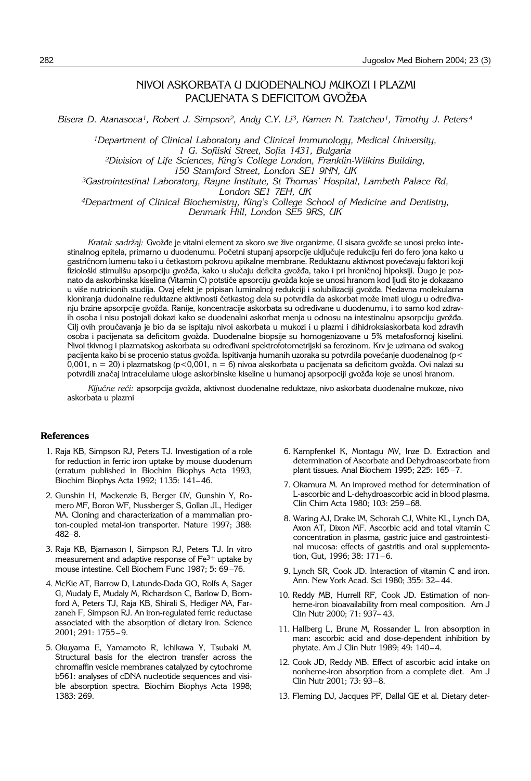# NIVOI ASKORBATA U DUODENALNOJ MUKOZI I PLAZMI PACIJENATA S DEFICITOM GVOŽĐA

*Bisera D. Atanasova1, Robert J. Simpson2, Andy C.Y. Li3, Kamen N. Tzatchev1, Timothy J. Peters <sup>4</sup>*

*1Department of Clinical Laboratory and Clinical Immunology, Medical University, 1 G. Sofiiski Street, Sofia 1431, Bulgaria*

*2Division of Life Sciences, King's College London, Franklin*-*Wilkins Building,* 

*150 Stamford Street, London SE1 9NN, UK*

*3Gastrointestinal Laboratory, Rayne Institute, St Thomas' Hospital, Lambeth Palace Rd, London SE1 7EH, UK*

*4Department of Clinical Biochemistry, King's College School of Medicine and Dentistry, Denmark Hill, London SE5 9RS, UK*

Kratak sadržaj: Gvožđe je vitalni element za skoro sve žive organizme. U sisara gvožđe se unosi preko intestinalnog epitela, primarno u duodenumu. Početni stupanj apsorpcije uključuje redukciju feri do fero jona kako u gastričnom lumenu tako i u četkastom pokrovu apikalne membrane. Reduktaznu aktivnost povećavaju faktori koji fiziološki stimulišu apsorpciju gvožđa, kako u slučaju deficita gvožđa, tako i pri hroničnoj hipoksiji. Dugo je poznato da askorbinska kiselina (Vitamin C) potstiče apsorciju gvožđa koje se unosi hranom kod ljudi što je dokazano u više nutricionih studija. Ovaj efekt je pripisan luminalnoj redukciji i solubilizaciji gvožđa. Nedavna molekularna kloniranja dudonalne reduktazne aktivnosti četkastog dela su potvrdila da askorbat može imati ulogu u određivanju brzine apsorpcije gvožđa. Ranije, koncentracije askorbata su određivane u duodenumu, i to samo kod zdravih osoba i nisu postojali dokazi kako se duodenalni askorbat menja u odnosu na intestinalnu apsorpciju gvožđa. Cilj ovih proučavanja je bio da se ispitaju nivoi askorbata u mukozi i u plazmi i dihidroksiaskorbata kod zdravih osoba i pacijenata sa deficitom gvožđa. Duodenalne biopsije su homogenizovane u 5% metafosfornoj kiselini. Nivoi tkivnog i plazmatskog askorbata su određivani spektrofotometrijski sa ferozinom. Krv je uzimana od svakog pacijenta kako bi se procenio status gvožđa. Ispitivanja humanih uzoraka su potvrdila povećanje duodenalnog (p<  $0,001$ , n = 20) i plazmatskog (p<0,001, n = 6) nivoa akskorbata u pacijenata sa deficitom gvožđa. Ovi nalazi su potvrdili značaj intracelularne uloge askorbinske kiseline u humanoj apsorpociji gvožđa koje se unosi hranom.

*Ključne reči: apsorpcija gvožđa, aktivnost duodenalne reduktaze, nivo askorbata duodenalne mukoze, nivo* askorbata u plazmi

# **References**

- 1. Raja KB, Simpson RJ, Peters TJ. Investigation of a role for reduction in ferric iron uptake by mouse duodenum (erratum published in Biochim Biophys Acta 1993, Biochim Biophys Acta 1992; 1135: 141– 46.
- 2. Gunshin H, Mackenzie B, Berger UV, Gunshin Y, Romero MF, Boron WF, Nussberger S, Gollan JL, Hediger MA. Cloning and characterization of a mammalian proton-coupled metal-ion transporter. Nature 1997; 388: 482–8.
- 3. Raja KB, Bjarnason I, Simpson RJ, Peters TJ. In vitro measurement and adaptive response of  $Fe<sup>3+</sup>$  uptake by mouse intestine. Cell Biochem Func 1987; 5: 69 –76.
- 4. McKie AT, Barrow D, Latunde-Dada GO, Rolfs A, Sager G, Mudaly E, Mudaly M, Richardson C, Barlow D, Bomford A, Peters TJ, Raja KB, Shirali S, Hediger MA, Farzaneh F, Simpson RJ. An iron-regulated ferric reductase associated with the absorption of dietary iron. Science 2001; 291: 1755– 9.
- 5. Okuyama E, Yamamoto R, Ichikawa Y, Tsubaki M. Structural basis for the electron transfer across the chromaffin vesicle membranes catalyzed by cytochrome b561: analyses of cDNA nucleotide sequences and visible absorption spectra. Biochim Biophys Acta 1998; 1383: 269.
- 6. Kampfenkel K, Montagu MV, Inze D. Extraction and determination of Ascorbate and Dehydroascorbate from plant tissues. Anal Biochem 1995; 225: 165 –7.
- 7. Okamura M. An improved method for determination of L-ascorbic and L-dehydroascorbic acid in blood plasma. Clin Chim Acta 1980; 103: 259 –68.
- 8. Waring AJ, Drake IM, Schorah CJ, White KL, Lynch DA, Axon AT, Dixon MF. Ascorbic acid and total vitamin C concentration in plasma, gastric juice and gastrointestinal mucosa: effects of gastritis and oral supplementation, Gut, 1996; 38: 171-6.
- 9. Lynch SR, Cook JD. Interaction of vitamin C and iron. Ann. New York Acad. Sci 1980; 355: 32– 44.
- 10. Reddy MB, Hurrell RF, Cook JD. Estimation of nonheme-iron bioavailability from meal composition. Am J Clin Nutr 2000; 71: 937– 43.
- 11. Hallberg L, Brune M, Rossander L. Iron absorption in man: ascorbic acid and dose-dependent inhibition by phytate. Am J Clin Nutr 1989; 49: 140–4.
- 12. Cook JD, Reddy MB. Effect of ascorbic acid intake on nonheme-iron absorption from a complete diet. Am J Clin Nutr 2001; 73: 93–8.
- 13. Fleming DJ, Jacques PF, Dallal GE et al. Dietary deter-